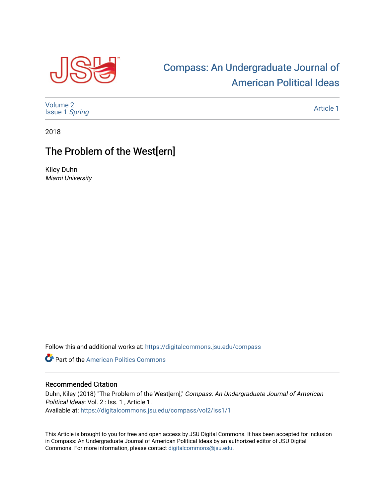

## [Compass: An Undergraduate Journal of](https://digitalcommons.jsu.edu/compass)  [American Political Ideas](https://digitalcommons.jsu.edu/compass)

[Volume 2](https://digitalcommons.jsu.edu/compass/vol2) [Issue 1](https://digitalcommons.jsu.edu/compass/vol2/iss1) Spring

[Article 1](https://digitalcommons.jsu.edu/compass/vol2/iss1/1) 

2018

## The Problem of the West[ern]

Kiley Duhn Miami University

Follow this and additional works at: [https://digitalcommons.jsu.edu/compass](https://digitalcommons.jsu.edu/compass?utm_source=digitalcommons.jsu.edu%2Fcompass%2Fvol2%2Fiss1%2F1&utm_medium=PDF&utm_campaign=PDFCoverPages)

**Part of the American Politics Commons** 

## Recommended Citation

Duhn, Kiley (2018) "The Problem of the West[ern]," Compass: An Undergraduate Journal of American Political Ideas: Vol. 2 : Iss. 1 , Article 1. Available at: [https://digitalcommons.jsu.edu/compass/vol2/iss1/1](https://digitalcommons.jsu.edu/compass/vol2/iss1/1?utm_source=digitalcommons.jsu.edu%2Fcompass%2Fvol2%2Fiss1%2F1&utm_medium=PDF&utm_campaign=PDFCoverPages)

This Article is brought to you for free and open access by JSU Digital Commons. It has been accepted for inclusion in Compass: An Undergraduate Journal of American Political Ideas by an authorized editor of JSU Digital Commons. For more information, please contact [digitalcommons@jsu.edu.](mailto:digitalcommons@jsu.edu)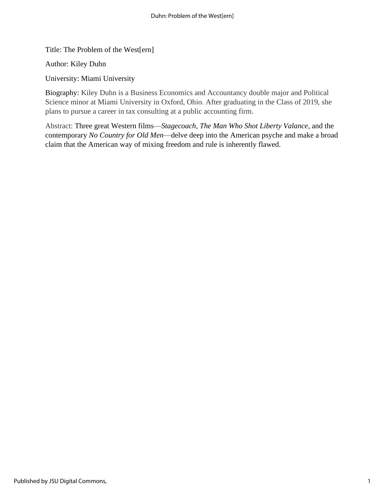Title: The Problem of the West[ern]

Author: Kiley Duhn

University: Miami University

Biography: Kiley Duhn is a Business Economics and Accountancy double major and Political Science minor at Miami University in Oxford, Ohio. After graduating in the Class of 2019, she plans to pursue a career in tax consulting at a public accounting firm.

Abstract: Three great Western films—*Stagecoach*, *The Man Who Shot Liberty Valance*, and the contemporary *No Country for Old Men*—delve deep into the American psyche and make a broad claim that the American way of mixing freedom and rule is inherently flawed.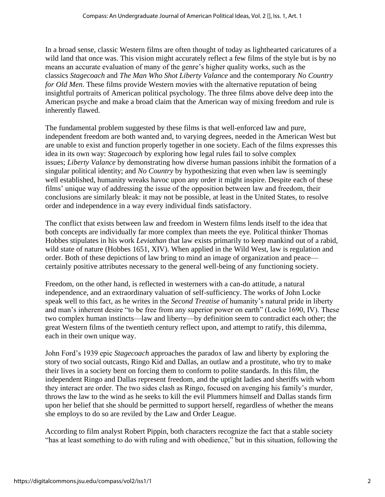In a broad sense, classic Western films are often thought of today as lighthearted caricatures of a wild land that once was. This vision might accurately reflect a few films of the style but is by no means an accurate evaluation of many of the genre's higher quality works, such as the classics *Stagecoach* and *The Man Who Shot Liberty Valance* and the contemporary *No Country for Old Men*. These films provide Western movies with the alternative reputation of being insightful portraits of American political psychology. The three films above delve deep into the American psyche and make a broad claim that the American way of mixing freedom and rule is inherently flawed.

The fundamental problem suggested by these films is that well-enforced law and pure, independent freedom are both wanted and, to varying degrees, needed in the American West but are unable to exist and function properly together in one society. Each of the films expresses this idea in its own way: *Stagecoach* by exploring how legal rules fail to solve complex issues; *Liberty Valance* by demonstrating how diverse human passions inhibit the formation of a singular political identity; and *No Country* by hypothesizing that even when law is seemingly well established, humanity wreaks havoc upon any order it might inspire. Despite each of these films' unique way of addressing the issue of the opposition between law and freedom, their conclusions are similarly bleak: it may not be possible, at least in the United States, to resolve order and independence in a way every individual finds satisfactory.

The conflict that exists between law and freedom in Western films lends itself to the idea that both concepts are individually far more complex than meets the eye. Political thinker Thomas Hobbes stipulates in his work *Leviathan* that law exists primarily to keep mankind out of a rabid, wild state of nature (Hobbes 1651, XIV). When applied in the Wild West, law is regulation and order. Both of these depictions of law bring to mind an image of organization and peace certainly positive attributes necessary to the general well-being of any functioning society.

Freedom, on the other hand, is reflected in westerners with a can-do attitude, a natural independence, and an extraordinary valuation of self-sufficiency. The works of John Locke speak well to this fact, as he writes in the *Second Treatise* of humanity's natural pride in liberty and man's inherent desire "to be free from any superior power on earth" (Locke 1690, IV). These two complex human instincts—law and liberty—by definition seem to contradict each other; the great Western films of the twentieth century reflect upon, and attempt to ratify, this dilemma, each in their own unique way.

John Ford's 1939 epic *Stagecoach* approaches the paradox of law and liberty by exploring the story of two social outcasts, Ringo Kid and Dallas, an outlaw and a prostitute, who try to make their lives in a society bent on forcing them to conform to polite standards. In this film, the independent Ringo and Dallas represent freedom, and the uptight ladies and sheriffs with whom they interact are order. The two sides clash as Ringo, focused on avenging his family's murder, throws the law to the wind as he seeks to kill the evil Plummers himself and Dallas stands firm upon her belief that she should be permitted to support herself, regardless of whether the means she employs to do so are reviled by the Law and Order League.

According to film analyst Robert Pippin, both characters recognize the fact that a stable society "has at least something to do with ruling and with obedience," but in this situation, following the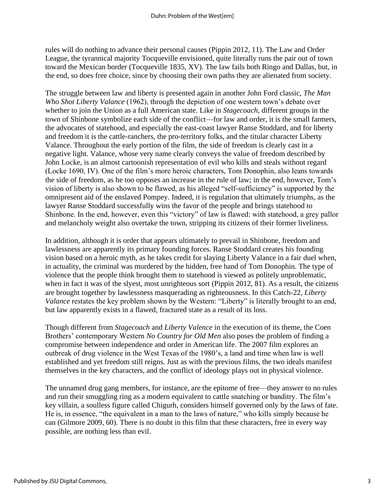rules will do nothing to advance their personal causes (Pippin 2012, 11). The Law and Order League, the tyrannical majority Tocqueville envisioned, quite literally runs the pair out of town toward the Mexican border (Tocqueville 1835, XV). The law fails both Ringo and Dallas, but, in the end, so does free choice, since by choosing their own paths they are alienated from society.

The struggle between law and liberty is presented again in another John Ford classic, *The Man Who Shot Liberty Valance* (1962), through the depiction of one western town's debate over whether to join the Union as a full American state. Like in *Stagecoach*, different groups in the town of Shinbone symbolize each side of the conflict—for law and order, it is the small farmers, the advocates of statehood, and especially the east-coast lawyer Ranse Stoddard, and for liberty and freedom it is the cattle-ranchers, the pro-territory folks, and the titular character Liberty Valance. Throughout the early portion of the film, the side of freedom is clearly cast in a negative light. Valance, whose very name clearly conveys the value of freedom described by John Locke, is an almost cartoonish representation of evil who kills and steals without regard (Locke 1690, IV). One of the film's more heroic characters, Tom Donophin, also leans towards the side of freedom, as he too opposes an increase in the rule of law; in the end, however, Tom's vision of liberty is also shown to be flawed, as his alleged "self-sufficiency" is supported by the omnipresent aid of the enslaved Pompey. Indeed, it is regulation that ultimately triumphs, as the lawyer Ranse Stoddard successfully wins the favor of the people and brings statehood to Shinbone. In the end, however, even this "victory" of law is flawed: with statehood, a grey pallor and melancholy weight also overtake the town, stripping its citizens of their former liveliness.

In addition, although it is order that appears ultimately to prevail in Shinbone, freedom and lawlessness are apparently its primary founding forces. Ranse Stoddard creates his founding vision based on a heroic myth, as he takes credit for slaying Liberty Valance in a fair duel when, in actuality, the criminal was murdered by the hidden, free hand of Tom Donophin. The type of violence that the people think brought them to statehood is viewed as politely unproblematic, when in fact it was of the slyest, most unrighteous sort (Pippin 2012, 81). As a result, the citizens are brought together by lawlessness masquerading as righteousness. In this Catch-22, *Liberty Valance* restates the key problem shown by the Western: "Liberty" is literally brought to an end, but law apparently exists in a flawed, fractured state as a result of its loss.

Though different from *Stagecoach* and *Liberty Valence* in the execution of its theme, the Coen Brothers' contemporary Western *No Country for Old Men* also poses the problem of finding a compromise between independence and order in American life. The 2007 film explores an outbreak of drug violence in the West Texas of the 1980's, a land and time when law is well established and yet freedom still reigns. Just as with the previous films, the two ideals manifest themselves in the key characters, and the conflict of ideology plays out in physical violence.

The unnamed drug gang members, for instance, are the epitome of free—they answer to no rules and run their smuggling ring as a modern equivalent to cattle snatching or banditry. The film's key villain, a soulless figure called Chigurh, considers himself governed only by the laws of fate. He is, in essence, "the equivalent in a man to the laws of nature," who kills simply because he can (Gilmore 2009, 60). There is no doubt in this film that these characters, free in every way possible, are nothing less than evil.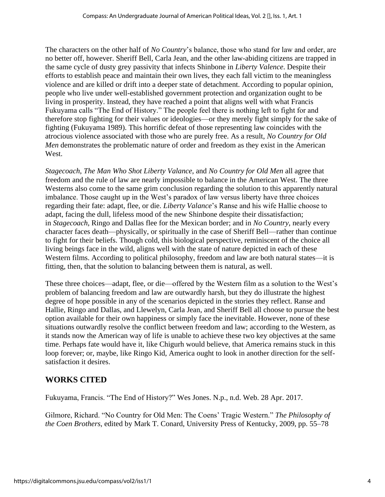The characters on the other half of *No Country*'s balance, those who stand for law and order, are no better off, however. Sheriff Bell, Carla Jean, and the other law-abiding citizens are trapped in the same cycle of dusty grey passivity that infects Shinbone in *Liberty Valence*. Despite their efforts to establish peace and maintain their own lives, they each fall victim to the meaningless violence and are killed or drift into a deeper state of detachment. According to popular opinion, people who live under well-established government protection and organization ought to be living in prosperity. Instead, they have reached a point that aligns well with what Francis Fukuyama calls "The End of History." The people feel there is nothing left to fight for and therefore stop fighting for their values or ideologies—or they merely fight simply for the sake of fighting (Fukuyama 1989). This horrific defeat of those representing law coincides with the atrocious violence associated with those who are purely free. As a result, *No Country for Old Men* demonstrates the problematic nature of order and freedom as they exist in the American West.

*Stagecoach*, *The Man Who Shot Liberty Valance*, and *No Country for Old Men* all agree that freedom and the rule of law are nearly impossible to balance in the American West. The three Westerns also come to the same grim conclusion regarding the solution to this apparently natural imbalance. Those caught up in the West's paradox of law versus liberty have three choices regarding their fate: adapt, flee, or die. *Liberty Valance*'s Ranse and his wife Hallie choose to adapt, facing the dull, lifeless mood of the new Shinbone despite their dissatisfaction; in *Stagecoach*, Ringo and Dallas flee for the Mexican border; and in *No Country*, nearly every character faces death—physically, or spiritually in the case of Sheriff Bell—rather than continue to fight for their beliefs. Though cold, this biological perspective, reminiscent of the choice all living beings face in the wild, aligns well with the state of nature depicted in each of these Western films. According to political philosophy, freedom and law are both natural states—it is fitting, then, that the solution to balancing between them is natural, as well.

These three choices—adapt, flee, or die—offered by the Western film as a solution to the West's problem of balancing freedom and law are outwardly harsh, but they do illustrate the highest degree of hope possible in any of the scenarios depicted in the stories they reflect. Ranse and Hallie, Ringo and Dallas, and Llewelyn, Carla Jean, and Sheriff Bell all choose to pursue the best option available for their own happiness or simply face the inevitable. However, none of these situations outwardly resolve the conflict between freedom and law; according to the Western, as it stands now the American way of life is unable to achieve these two key objectives at the same time. Perhaps fate would have it, like Chigurh would believe, that America remains stuck in this loop forever; or, maybe, like Ringo Kid, America ought to look in another direction for the selfsatisfaction it desires.

## **WORKS CITED**

Fukuyama, Francis. "The End of History?" Wes Jones. N.p., n.d. Web. 28 Apr. 2017.

Gilmore, Richard. "No Country for Old Men: The Coens' Tragic Western." *The Philosophy of the Coen Brothers*, edited by Mark T. Conard, University Press of Kentucky, 2009, pp. 55–78